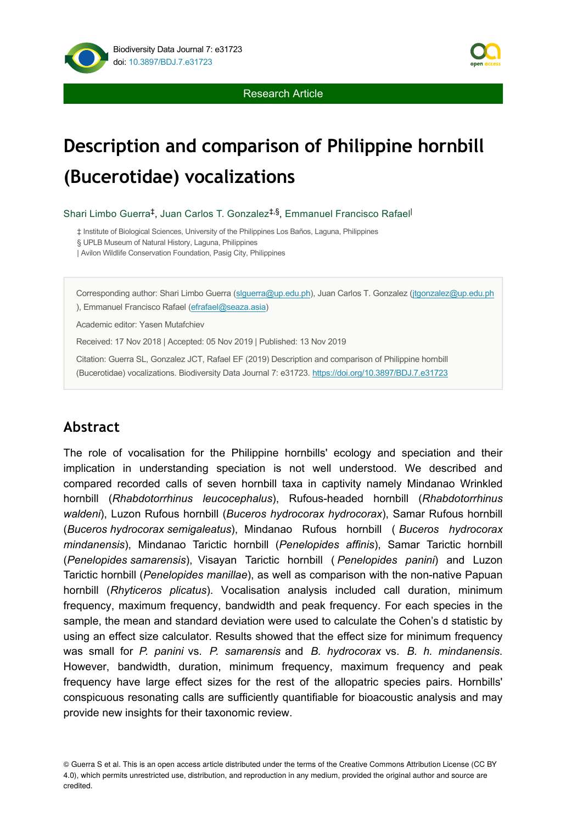



Research Article

# **Description and comparison of Philippine hornbill (Bucerotidae) vocalizations**

Shari Limbo Guerra<sup>‡</sup>, Juan Carlos T. Gonzalez<sup>‡,§</sup>, Emmanuel Francisco Rafael<sup>|</sup>

‡ Institute of Biological Sciences, University of the Philippines Los Baños, Laguna, Philippines § UPLB Museum of Natural History, Laguna, Philippines

| Avilon Wildlife Conservation Foundation, Pasig City, Philippines

Corresponding author: Shari Limbo Guerra [\(slguerra@up.edu.ph](mailto:slguerra@up.edu.ph)), Juan Carlos T. Gonzalez ([jtgonzalez@up.edu.ph](mailto:jtgonzalez@up.edu.ph) ), Emmanuel Francisco Rafael ([efrafael@seaza.asia](mailto:efrafael@seaza.asia))

Academic editor: Yasen Mutafchiev

Received: 17 Nov 2018 | Accepted: 05 Nov 2019 | Published: 13 Nov 2019

Citation: Guerra SL, Gonzalez JCT, Rafael EF (2019) Description and comparison of Philippine hornbill (Bucerotidae) vocalizations. Biodiversity Data Journal 7: e31723. <https://doi.org/10.3897/BDJ.7.e31723>

# **Abstract**

The role of vocalisation for the Philippine hornbills' ecology and speciation and their implication in understanding speciation is not well understood. We described and compared recorded calls of seven hornbill taxa in captivity namely Mindanao Wrinkled hornbill (*Rhabdotorrhinus leucocephalus*), Rufous-headed hornbill (*Rhabdotorrhinus waldeni*), Luzon Rufous hornbill (*Buceros hydrocorax hydrocorax*), Samar Rufous hornbill (*Buceros hydrocorax semigaleatus*), Mindanao Rufous hornbill ( *Buceros hydrocorax mindanensis*), Mindanao Tarictic hornbill (*Penelopides affinis*), Samar Tarictic hornbill (*Penelopides samarensis*), Visayan Tarictic hornbill ( *Penelopides panini*) and Luzon Tarictic hornbill (*Penelopides manillae*), as well as comparison with the non-native Papuan hornbill (*Rhyticeros plicatus*). Vocalisation analysis included call duration, minimum frequency, maximum frequency, bandwidth and peak frequency. For each species in the sample, the mean and standard deviation were used to calculate the Cohen's d statistic by using an effect size calculator. Results showed that the effect size for minimum frequency was small for *P. panini* vs. *P. samarensis* and *B. hydrocorax* vs. *B. h. mindanensis*. However, bandwidth, duration, minimum frequency, maximum frequency and peak frequency have large effect sizes for the rest of the allopatric species pairs. Hornbills' conspicuous resonating calls are sufficiently quantifiable for bioacoustic analysis and may provide new insights for their taxonomic review.

© Guerra S et al. This is an open access article distributed under the terms of the Creative Commons Attribution License (CC BY 4.0), which permits unrestricted use, distribution, and reproduction in any medium, provided the original author and source are credited.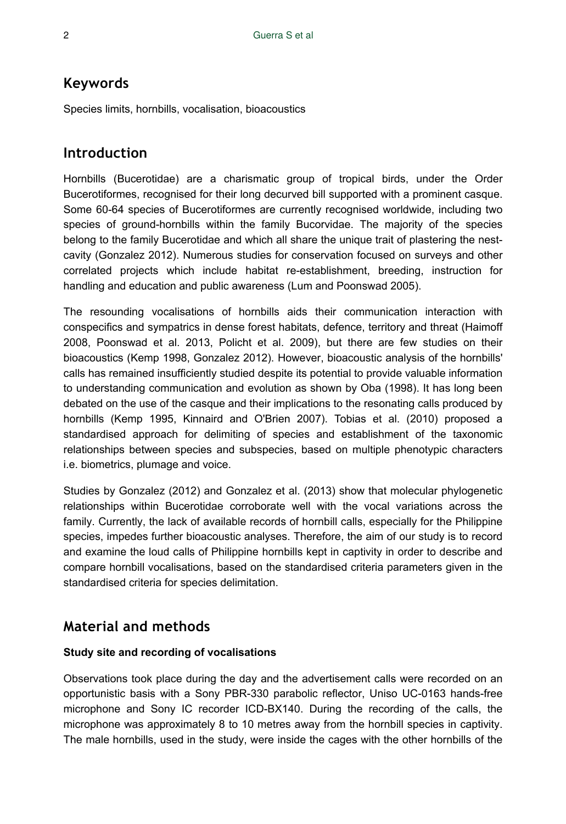# **Keywords**

Species limits, hornbills, vocalisation, bioacoustics

# **Introduction**

Hornbills (Bucerotidae) are a charismatic group of tropical birds, under the Order Bucerotiformes, recognised for their long decurved bill supported with a prominent casque. Some 60-64 species of Bucerotiformes are currently recognised worldwide, including two species of ground-hornbills within the family Bucorvidae. The majority of the species belong to the family Bucerotidae and which all share the unique trait of plastering the nestcavity (Gonzalez 2012). Numerous studies for conservation focused on surveys and other correlated projects which include habitat re-establishment, breeding, instruction for handling and education and public awareness (Lum and Poonswad 2005).

The resounding vocalisations of hornbills aids their communication interaction with conspecifics and sympatrics in dense forest habitats, defence, territory and threat (Haimoff 2008, Poonswad et al. 2013, Policht et al. 2009), but there are few studies on their bioacoustics (Kemp 1998, Gonzalez 2012). However, bioacoustic analysis of the hornbills' calls has remained insufficiently studied despite its potential to provide valuable information to understanding communication and evolution as shown by Oba (1998). It has long been debated on the use of the casque and their implications to the resonating calls produced by hornbills (Kemp 1995, Kinnaird and O'Brien 2007). Tobias et al. (2010) proposed a standardised approach for delimiting of species and establishment of the taxonomic relationships between species and subspecies, based on multiple phenotypic characters i.e. biometrics, plumage and voice.

Studies by Gonzalez (2012) and Gonzalez et al. (2013) show that molecular phylogenetic relationships within Bucerotidae corroborate well with the vocal variations across the family. Currently, the lack of available records of hornbill calls, especially for the Philippine species, impedes further bioacoustic analyses. Therefore, the aim of our study is to record and examine the loud calls of Philippine hornbills kept in captivity in order to describe and compare hornbill vocalisations, based on the standardised criteria parameters given in the standardised criteria for species delimitation.

# **Material and methods**

### **Study site and recording of vocalisations**

Observations took place during the day and the advertisement calls were recorded on an opportunistic basis with a Sony PBR-330 parabolic reflector, Uniso UC-0163 hands-free microphone and Sony IC recorder ICD-BX140. During the recording of the calls, the microphone was approximately 8 to 10 metres away from the hornbill species in captivity. The male hornbills, used in the study, were inside the cages with the other hornbills of the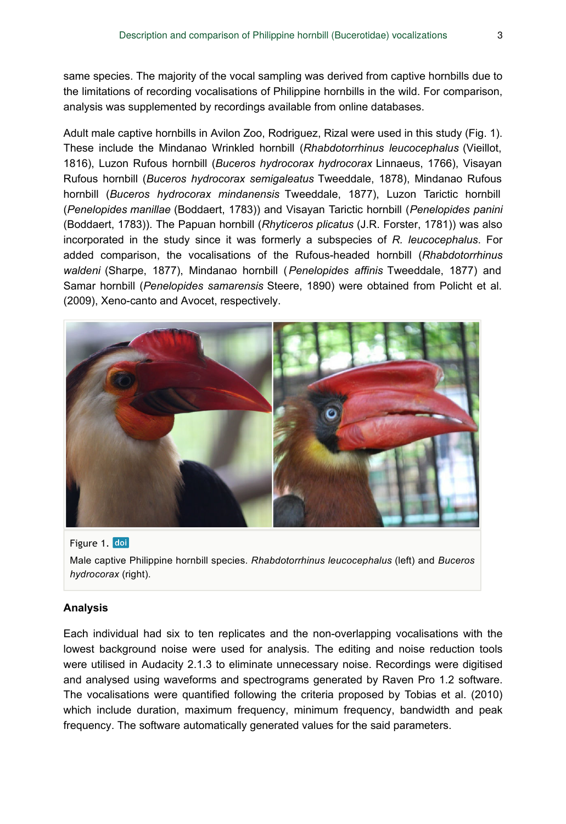same species. The majority of the vocal sampling was derived from captive hornbills due to the limitations of recording vocalisations of Philippine hornbills in the wild. For comparison, analysis was supplemented by recordings available from online databases.

Adult male captive hornbills in Avilon Zoo, Rodriguez, Rizal were used in this study (Fig. 1). These include the Mindanao Wrinkled hornbill (*Rhabdotorrhinus leucocephalus* (Vieillot, 1816), Luzon Rufous hornbill (*Buceros hydrocorax hydrocorax* Linnaeus, 1766), Visayan Rufous hornbill (*Buceros hydrocorax semigaleatus* Tweeddale, 1878), Mindanao Rufous hornbill (*Buceros hydrocorax mindanensis* Tweeddale, 1877), Luzon Tarictic hornbill (*Penelopides manillae* (Boddaert, 1783)) and Visayan Tarictic hornbill (*Penelopides panini* (Boddaert, 1783)). The Papuan hornbill (*Rhyticeros plicatus* (J.R. Forster, 1781)) was also incorporated in the study since it was formerly a subspecies of *R. leucocephalus*. For added comparison, the vocalisations of the Rufous-headed hornbill (*Rhabdotorrhinus waldeni* (Sharpe, 1877), Mindanao hornbill (*Penelopides affinis* Tweeddale, 1877) and Samar hornbill (*Penelopides samarensis* Steere, 1890) were obtained from Policht et al. (2009), Xeno-canto and Avocet, respectively.



#### Figure 1. doi

Male captive Philippine hornbill species. *Rhabdotorrhinus leucocephalus* (left) and *Buceros hydrocorax* (right).

#### **Analysis**

Each individual had six to ten replicates and the non-overlapping vocalisations with the lowest background noise were used for analysis. The editing and noise reduction tools were utilised in Audacity 2.1.3 to eliminate unnecessary noise. Recordings were digitised and analysed using waveforms and spectrograms generated by Raven Pro 1.2 software. The vocalisations were quantified following the criteria proposed by Tobias et al. (2010) which include duration, maximum frequency, minimum frequency, bandwidth and peak frequency. The software automatically generated values for the said parameters.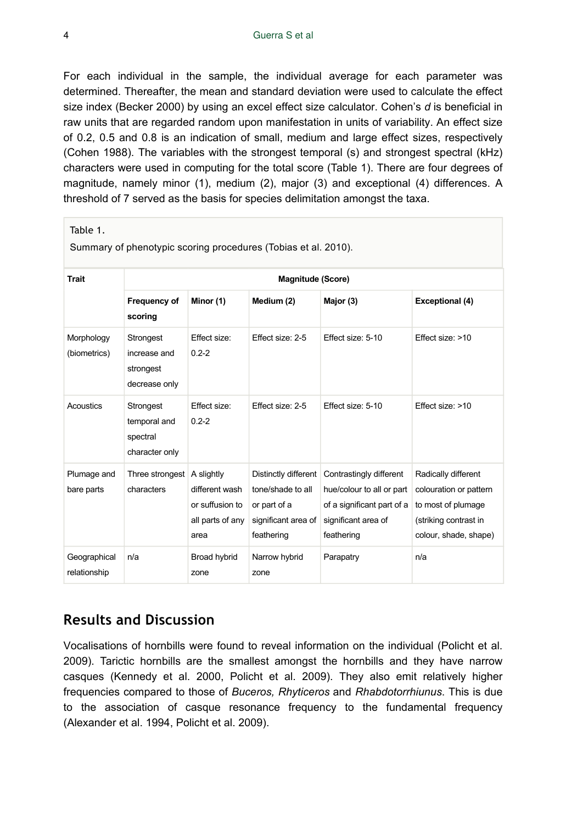For each individual in the sample, the individual average for each parameter was determined. Thereafter, the mean and standard deviation were used to calculate the effect size index (Becker 2000) by using an excel effect size calculator. Cohen's *d* is beneficial in raw units that are regarded random upon manifestation in units of variability. An effect size of 0.2, 0.5 and 0.8 is an indication of small, medium and large effect sizes, respectively (Cohen 1988). The variables with the strongest temporal (s) and strongest spectral (kHz) characters were used in computing for the total score (Table 1). There are four degrees of magnitude, namely minor (1), medium (2), major (3) and exceptional (4) differences. A threshold of 7 served as the basis for species delimitation amongst the taxa.

| Table 1.<br>Summary of phenotypic scoring procedures (Tobias et al. 2010). |                                                         |                                                                             |                                                                                                |                                                                                                                         |                                                                                                                       |  |  |  |  |  |  |
|----------------------------------------------------------------------------|---------------------------------------------------------|-----------------------------------------------------------------------------|------------------------------------------------------------------------------------------------|-------------------------------------------------------------------------------------------------------------------------|-----------------------------------------------------------------------------------------------------------------------|--|--|--|--|--|--|
| <b>Trait</b>                                                               | Magnitude (Score)                                       |                                                                             |                                                                                                |                                                                                                                         |                                                                                                                       |  |  |  |  |  |  |
|                                                                            | Frequency of<br>scoring                                 | Minor (1)                                                                   | Medium (2)                                                                                     | Major (3)                                                                                                               | Exceptional (4)                                                                                                       |  |  |  |  |  |  |
| Morphology<br>(biometrics)                                                 | Strongest<br>increase and<br>strongest<br>decrease only | Effect size:<br>$0.2 - 2$                                                   | Effect size: 2-5                                                                               | Effect size: 5-10                                                                                                       | Effect size: >10                                                                                                      |  |  |  |  |  |  |
| <b>Acoustics</b>                                                           | Strongest<br>temporal and<br>spectral<br>character only | Effect size:<br>$0.2 - 2$                                                   | Effect size: 2-5                                                                               | Effect size: 5-10                                                                                                       | Effect size: >10                                                                                                      |  |  |  |  |  |  |
| Plumage and<br>bare parts                                                  | Three strongest<br>characters                           | A slightly<br>different wash<br>or suffusion to<br>all parts of any<br>area | Distinctly different<br>tone/shade to all<br>or part of a<br>significant area of<br>feathering | Contrastingly different<br>hue/colour to all or part<br>of a significant part of a<br>significant area of<br>feathering | Radically different<br>colouration or pattern<br>to most of plumage<br>(striking contrast in<br>colour, shade, shape) |  |  |  |  |  |  |
| Geographical<br>relationship                                               | n/a                                                     | Broad hybrid<br>zone                                                        | Narrow hybrid<br>zone                                                                          | Parapatry                                                                                                               | n/a                                                                                                                   |  |  |  |  |  |  |

# **Results and Discussion**

Vocalisations of hornbills were found to reveal information on the individual (Policht et al. 2009). Tarictic hornbills are the smallest amongst the hornbills and they have narrow casques (Kennedy et al. 2000, Policht et al. 2009). They also emit relatively higher frequencies compared to those of *Buceros, Rhyticeros* and *Rhabdotorrhiunus*. This is due to the association of casque resonance frequency to the fundamental frequency (Alexander et al. 1994, Policht et al. 2009).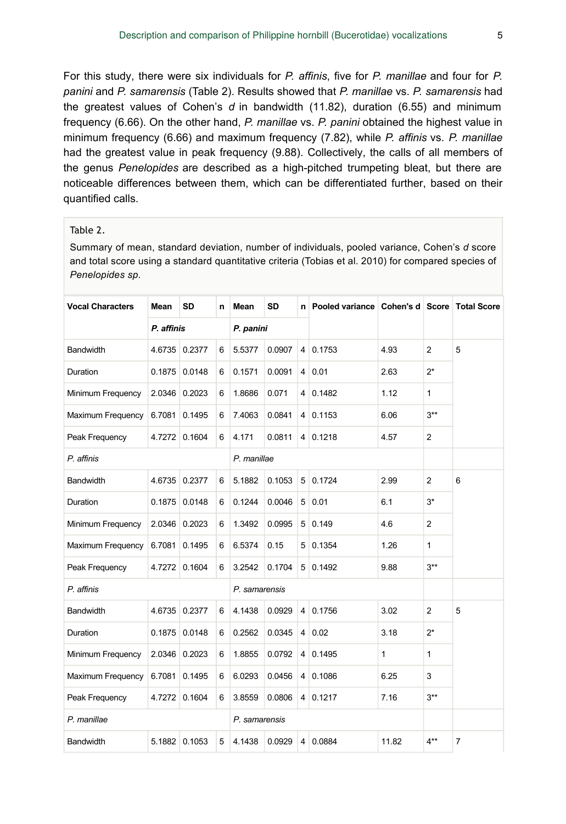For this study, there were six individuals for *P. affinis*, five for *P. manillae* and four for *P. panini* and *P. samarensis* (Table 2). Results showed that *P. manillae* vs. *P. samarensis* had the greatest values of Cohen's *d* in bandwidth (11.82), duration (6.55) and minimum frequency (6.66). On the other hand, *P. manillae* vs. *P. panini* obtained the highest value in minimum frequency (6.66) and maximum frequency (7.82), while *P. affinis* vs. *P. manillae* had the greatest value in peak frequency (9.88). Collectively, the calls of all members of the genus *Penelopides* are described as a high-pitched trumpeting bleat, but there are noticeable differences between them, which can be differentiated further, based on their quantified calls.

### Table 2.

Summary of mean, standard deviation, number of individuals, pooled variance, Cohen's *d* score and total score using a standard quantitative criteria (Tobias et al. 2010) for compared species of *Penelopides sp*.

| <b>Vocal Characters</b> | Mean       | <b>SD</b>     | n           | Mean          | <b>SD</b> |                | n Pooled variance Cohen's d Score Total Score |       |                |   |
|-------------------------|------------|---------------|-------------|---------------|-----------|----------------|-----------------------------------------------|-------|----------------|---|
|                         | P. affinis |               | P. panini   |               |           |                |                                               |       |                |   |
| <b>Bandwidth</b>        | 4.6735     | 0.2377        | 6           | 5.5377        | 0.0907    |                | $4 \mid 0.1753$                               | 4.93  | $\overline{2}$ | 5 |
| Duration                | 0.1875     | 0.0148        | 6           | 0.1571        | 0.0091    | 4              | 0.01                                          | 2.63  | $2^*$          |   |
| Minimum Frequency       |            | 2.0346 0.2023 | 6           | 1.8686        | 0.071     | 4              | 0.1482                                        | 1.12  | $\mathbf{1}$   |   |
| Maximum Frequency       | 6.7081     | 0.1495        | 6           | 7.4063        | 0.0841    | 4 <sup>1</sup> | 0.1153                                        | 6.06  | $3***$         |   |
| Peak Frequency          | 4.7272     | 0.1604        | 6           | 4.171         | 0.0811    | $\overline{4}$ | 0.1218                                        | 4.57  | 2              |   |
| P. affinis              |            |               | P. manillae |               |           |                |                                               |       |                |   |
| <b>Bandwidth</b>        | 4.6735     | 0.2377        | 6           | 5.1882        | 0.1053    | 5              | 0.1724                                        | 2.99  | 2              | 6 |
| Duration                | 0.1875     | 0.0148        | 6           | 0.1244        | 0.0046    | 5 <sup>1</sup> | 0.01                                          | 6.1   | $3*$           |   |
| Minimum Frequency       | 2.0346     | 0.2023        | 6           | 1.3492        | 0.0995    | 5 <sup>1</sup> | 0.149                                         | 4.6   | $\overline{2}$ |   |
| Maximum Frequency       | 6.7081     | 0.1495        | 6           | 6.5374        | 0.15      | 5              | 0.1354                                        | 1.26  | 1              |   |
| Peak Frequency          |            | 4.7272 0.1604 | 6           | 3.2542        | 0.1704    |                | 5 0.1492                                      | 9.88  | $3***$         |   |
| P. affinis              |            |               |             | P. samarensis |           |                |                                               |       |                |   |
| <b>Bandwidth</b>        | 4.6735     | 0.2377        | 6           | 4.1438        | 0.0929    | 4 <sup>1</sup> | 0.1756                                        | 3.02  | 2              | 5 |
| Duration                | 0.1875     | 0.0148        | 6           | 0.2562        | 0.0345    | $\overline{4}$ | 0.02                                          | 3.18  | $2^*$          |   |
| Minimum Frequency       |            | 2.0346 0.2023 | 6           | 1.8855        | 0.0792    | $\overline{4}$ | 0.1495                                        | 1     | 1              |   |
| Maximum Frequency       | 6.7081     | 0.1495        | 6           | 6.0293        | 0.0456    | 4              | 0.1086                                        | 6.25  | 3              |   |
| Peak Frequency          | 4.7272     | 0.1604        | 6           | 3.8559        | 0.0806    | 4              | 0.1217                                        | 7.16  | $3**$          |   |
| P. manillae             |            |               |             | P. samarensis |           |                |                                               |       |                |   |
| Bandwidth               |            | 5.1882 0.1053 | 5           | 4.1438        | 0.0929    | 4              | 0.0884                                        | 11.82 | $4**$          | 7 |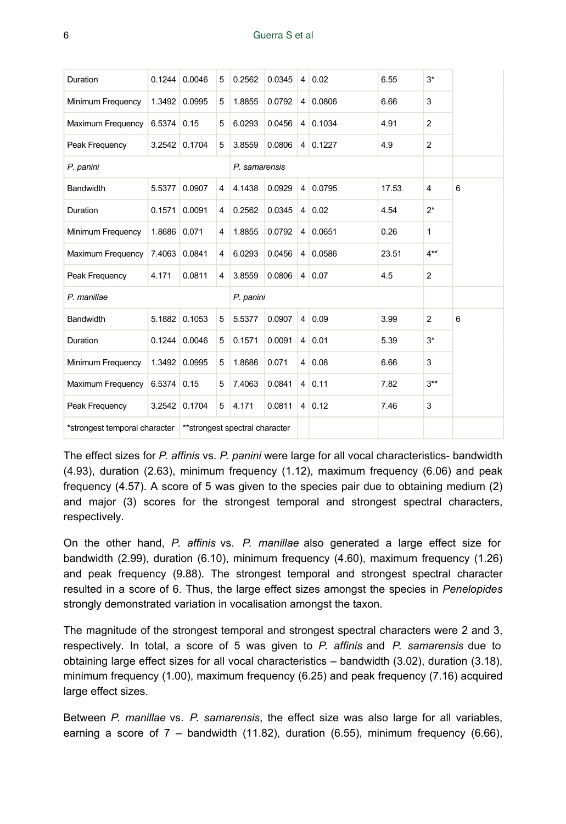| Duration                                                        | $0.1244$ 0.0046 |               | 5 | 0.2562        | 0.0345 | 4              | 0.02          | 6.55  | $3*$           |   |
|-----------------------------------------------------------------|-----------------|---------------|---|---------------|--------|----------------|---------------|-------|----------------|---|
| Minimum Frequency                                               |                 | 1.3492 0.0995 | 5 | 1.8855        | 0.0792 | $\overline{4}$ | 0.0806        | 6.66  | 3              |   |
| Maximum Frequency                                               | $6.5374$ 0.15   |               | 5 | 6.0293        | 0.0456 | $\overline{4}$ | 0.1034        | 4.91  | $\overline{2}$ |   |
| Peak Frequency                                                  |                 | 3.2542 0.1704 | 5 | 3.8559        | 0.0806 |                | 4 0.1227      | 4.9   | $\overline{2}$ |   |
| P. panini                                                       |                 |               |   | P. samarensis |        |                |               |       |                |   |
| <b>Bandwidth</b>                                                | 5.5377          | 0.0907        | 4 | 4.1438        | 0.0929 | $\overline{4}$ | 0.0795        | 17.53 | 4              | 6 |
| Duration                                                        | 0.1571          | 0.0091        | 4 | 0.2562        | 0.0345 | 4 <sup>1</sup> | 0.02          | 4.54  | $2^*$          |   |
| Minimum Frequency                                               | 1.8686          | 0.071         | 4 | 1.8855        | 0.0792 | $\overline{4}$ | 0.0651        | 0.26  | 1              |   |
| Maximum Frequency                                               | 7.4063          | 0.0841        | 4 | 6.0293        | 0.0456 | 4 <sup>1</sup> | 0.0586        | 23.51 | $4**$          |   |
| Peak Frequency                                                  | 4.171           | 0.0811        | 4 | 3.8559        | 0.0806 | 4 <sup>1</sup> | 0.07          | 4.5   | $\overline{2}$ |   |
| P. manillae                                                     |                 |               |   | P. panini     |        |                |               |       |                |   |
| <b>Bandwidth</b>                                                | 5.1882          | 0.1053        | 5 | 5.5377        | 0.0907 |                | $4 \mid 0.09$ | 3.99  | 2              | 6 |
| Duration                                                        | 0.1244          | 0.0046        | 5 | 0.1571        | 0.0091 |                | 4 0.01        | 5.39  | $3*$           |   |
| Minimum Frequency                                               |                 | 1.3492 0.0995 | 5 | 1.8686        | 0.071  | $\overline{4}$ | 0.08          | 6.66  | 3              |   |
| Maximum Frequency                                               | 6.5374 0.15     |               | 5 | 7.4063        | 0.0841 | 4 <sup>1</sup> | 0.11          | 7.82  | $3***$         |   |
| Peak Frequency                                                  | 3.2542          | 0.1704        | 5 | 4.171         | 0.0811 |                | $4 \mid 0.12$ | 7.46  | 3              |   |
| *strongest temporal character<br>**strongest spectral character |                 |               |   |               |        |                |               |       |                |   |

The effect sizes for *P. affinis* vs. *P. panini* were large for all vocal characteristics- bandwidth (4.93), duration (2.63), minimum frequency (1.12), maximum frequency (6.06) and peak frequency (4.57). A score of 5 was given to the species pair due to obtaining medium (2) and major (3) scores for the strongest temporal and strongest spectral characters, respectively.

On the other hand, *P. affinis* vs. *P. manillae* also generated a large effect size for bandwidth (2.99), duration (6.10), minimum frequency (4.60), maximum frequency (1.26) and peak frequency (9.88). The strongest temporal and strongest spectral character resulted in a score of 6. Thus, the large effect sizes amongst the species in *Penelopides* strongly demonstrated variation in vocalisation amongst the taxon.

The magnitude of the strongest temporal and strongest spectral characters were 2 and 3, respectively. In total, a score of 5 was given to *P. affinis* and *P. samarensis* due to obtaining large effect sizes for all vocal characteristics – bandwidth (3.02), duration (3.18), minimum frequency (1.00), maximum frequency (6.25) and peak frequency (7.16) acquired large effect sizes.

Between *P. manillae* vs. *P. samarensis*, the effect size was also large for all variables, earning a score of  $7 -$  bandwidth  $(11.82)$ , duration  $(6.55)$ , minimum frequency  $(6.66)$ ,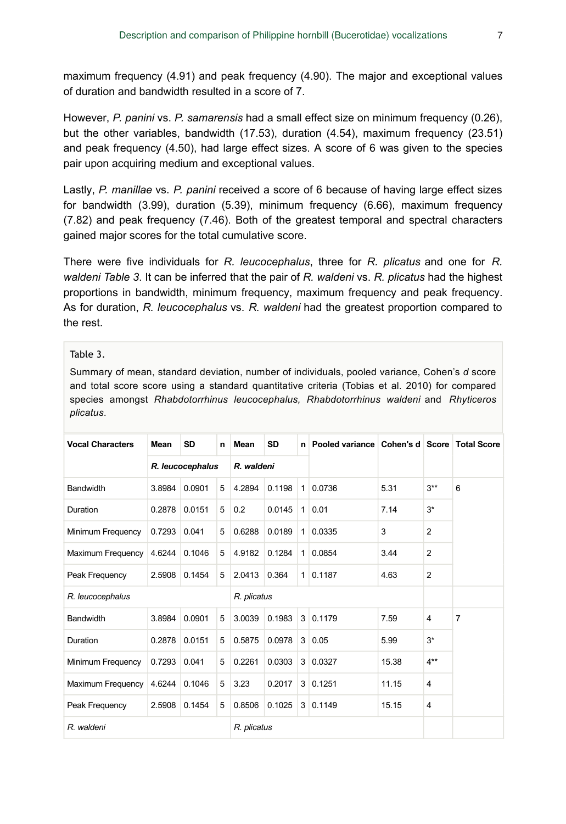maximum frequency (4.91) and peak frequency (4.90). The major and exceptional values of duration and bandwidth resulted in a score of 7.

However, *P. panini* vs. *P. samarensis* had a small effect size on minimum frequency (0.26), but the other variables, bandwidth (17.53), duration (4.54), maximum frequency (23.51) and peak frequency (4.50), had large effect sizes. A score of 6 was given to the species pair upon acquiring medium and exceptional values.

Lastly, *P. manillae* vs. *P. panini* received a score of 6 because of having large effect sizes for bandwidth (3.99), duration (5.39), minimum frequency (6.66), maximum frequency (7.82) and peak frequency (7.46). Both of the greatest temporal and spectral characters gained major scores for the total cumulative score.

There were five individuals for *R. leucocephalus*, three for *R. plicatus* and one for *R. waldeni Table 3*. It can be inferred that the pair of *R. waldeni* vs. *R. plicatus* had the highest proportions in bandwidth, minimum frequency, maximum frequency and peak frequency. As for duration, *R. leucocephalus* vs. *R. waldeni* had the greatest proportion compared to the rest.

#### Table 3.

Summary of mean, standard deviation, number of individuals, pooled variance, Cohen's *d* score and total score score using a standard quantitative criteria (Tobias et al. 2010) for compared species amongst *Rhabdotorrhinus leucocephalus, Rhabdotorrhinus waldeni* and *Rhyticeros plicatus*.

| <b>Vocal Characters</b> | Mean             | SD     | n | Mean        | <b>SD</b> |             | n   Pooled variance   Cohen's d   Score   Total Score |       |                |                |
|-------------------------|------------------|--------|---|-------------|-----------|-------------|-------------------------------------------------------|-------|----------------|----------------|
|                         | R. leucocephalus |        |   | R. waldeni  |           |             |                                                       |       |                |                |
| Bandwidth               | 3.8984           | 0.0901 | 5 | 4.2894      | 0.1198    |             | 1 0.0736                                              | 5.31  | $3**$          | 6              |
| Duration                | 0.2878           | 0.0151 | 5 | 0.2         | 0.0145    |             | $1 \ 0.01$                                            | 7.14  | $3*$           |                |
| Minimum Frequency       | 0.7293           | 0.041  | 5 | 0.6288      | 0.0189    |             | 1 0.0335                                              | 3     | $\overline{2}$ |                |
| Maximum Frequency       | 4.6244           | 0.1046 | 5 | 4.9182      | 0.1284    |             | 1 0.0854                                              | 3.44  | $\overline{2}$ |                |
| Peak Frequency          | 2.5908           | 0.1454 | 5 | 2.0413      | 0.364     |             | $1 \ 0.1187$                                          | 4.63  | 2              |                |
| R. leucocephalus        |                  |        |   | R. plicatus |           |             |                                                       |       |                |                |
| Bandwidth               | 3.8984           | 0.0901 | 5 | 3.0039      | 0.1983    |             | 3 0.1179                                              | 7.59  | 4              | $\overline{7}$ |
| Duration                | 0.2878           | 0.0151 | 5 | 0.5875      | 0.0978    | $3^{\circ}$ | 0.05                                                  | 5.99  | $3*$           |                |
| Minimum Frequency       | 0.7293           | 0.041  | 5 | 0.2261      | 0.0303    | 3           | 0.0327                                                | 15.38 | $4**$          |                |
| Maximum Frequency       | 4.6244           | 0.1046 | 5 | 3.23        | 0.2017    | 3           | 0.1251                                                | 11.15 | 4              |                |
| Peak Frequency          | 2.5908           | 0.1454 | 5 | 0.8506      | 0.1025    |             | 3   0.1149                                            | 15.15 | 4              |                |
| R. waldeni              |                  |        |   | R. plicatus |           |             |                                                       |       |                |                |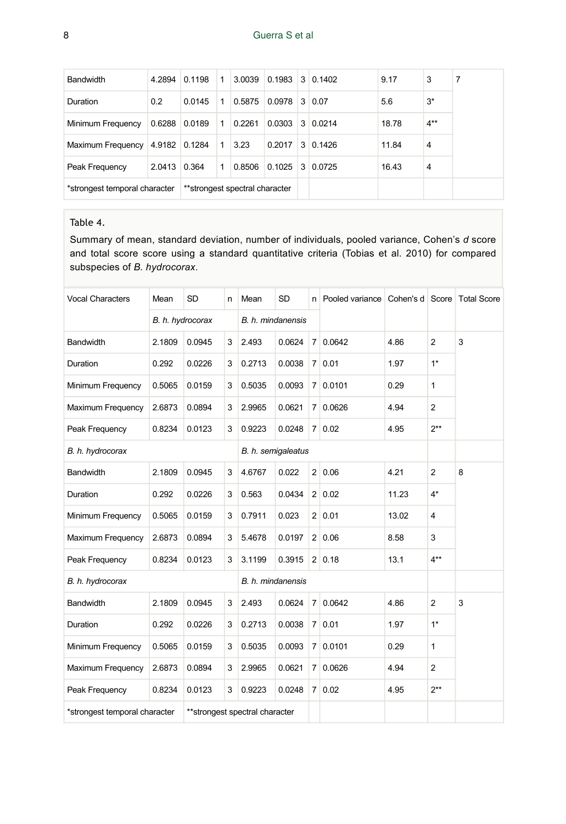| Bandwidth                     | 4.2894 | 0.1198                         | 1  | 3.0039 | 0.1983 |  | $3 \mid 0.1402$ | 9.17  | 3     |
|-------------------------------|--------|--------------------------------|----|--------|--------|--|-----------------|-------|-------|
| Duration                      | 0.2    | 0.0145                         | 1  | 0.5875 | 0.0978 |  | $3 \mid 0.07$   | 5.6   | $3^*$ |
| Minimum Frequency             | 0.6288 | 0.0189                         | 1  | 0.2261 | 0.0303 |  | $3 \mid 0.0214$ | 18.78 | $4**$ |
| Maximum Frequency             | 4.9182 | 0.1284                         | 1. | 3.23   | 0.2017 |  | $3 \mid 0.1426$ | 11.84 | 4     |
| Peak Frequency                | 2.0413 | 0.364                          | 1  | 0.8506 | 0.1025 |  | 3 0.0725        | 16.43 | 4     |
| *strongest temporal character |        | **strongest spectral character |    |        |        |  |                 |       |       |

### Table 4.

Summary of mean, standard deviation, number of individuals, pooled variance, Cohen's *d* score and total score score using a standard quantitative criteria (Tobias et al. 2010) for compared subspecies of *B. hydrocorax*.

| <b>Vocal Characters</b>       | Mean             | <b>SD</b> | n                 | Mean                            | <b>SD</b> |  | n Pooled variance Cohen's d Score Total Score |       |                |   |
|-------------------------------|------------------|-----------|-------------------|---------------------------------|-----------|--|-----------------------------------------------|-------|----------------|---|
|                               | B. h. hydrocorax |           | B. h. mindanensis |                                 |           |  |                                               |       |                |   |
| <b>Bandwidth</b>              | 2.1809           | 0.0945    | 3                 | 2.493                           | 0.0624    |  | 7 0.0642                                      | 4.86  | $\overline{2}$ | 3 |
| Duration                      | 0.292            | 0.0226    | 3                 | 0.2713                          | 0.0038    |  | 7 0.01                                        | 1.97  | $1*$           |   |
| Minimum Frequency             | 0.5065           | 0.0159    | 3                 | 0.5035                          | 0.0093    |  | 7 0.0101                                      | 0.29  | 1              |   |
| Maximum Frequency             | 2.6873           | 0.0894    | 3                 | 2.9965                          | 0.0621    |  | 7 0.0626                                      | 4.94  | $\overline{2}$ |   |
| Peak Frequency                | 0.8234           | 0.0123    | 3                 | 0.9223                          | 0.0248    |  | 7 0.02                                        | 4.95  | $2***$         |   |
| B. h. hydrocorax              |                  |           |                   | B. h. semigaleatus              |           |  |                                               |       |                |   |
| <b>Bandwidth</b>              | 2.1809           | 0.0945    | 3                 | 4.6767                          | 0.022     |  | 2 0.06                                        | 4.21  | $\overline{2}$ | 8 |
| Duration                      | 0.292            | 0.0226    | 3                 | 0.563                           | 0.0434    |  | 2 0.02                                        | 11.23 | $4*$           |   |
| Minimum Frequency             | 0.5065           | 0.0159    | 3                 | 0.7911                          | 0.023     |  | 2 0.01                                        | 13.02 | 4              |   |
| Maximum Frequency             | 2.6873           | 0.0894    | 3                 | 5.4678                          | 0.0197    |  | 2 0.06                                        | 8.58  | 3              |   |
| Peak Frequency                | 0.8234           | 0.0123    | 3                 | 3.1199                          | 0.3915    |  | $2 \mid 0.18$                                 | 13.1  | $4**$          |   |
| B. h. hydrocorax              |                  |           |                   | B. h. mindanensis               |           |  |                                               |       |                |   |
| <b>Bandwidth</b>              | 2.1809           | 0.0945    | 3                 | 2.493                           | 0.0624    |  | 7 0.0642                                      | 4.86  | $\overline{2}$ | 3 |
| Duration                      | 0.292            | 0.0226    | 3                 | 0.2713                          | 0.0038    |  | 7 0.01                                        | 1.97  | $1*$           |   |
| Minimum Frequency             | 0.5065           | 0.0159    | 3                 | 0.5035                          | 0.0093    |  | 7 0.0101                                      | 0.29  | $\mathbf{1}$   |   |
| Maximum Frequency             | 2.6873           | 0.0894    | 3                 | 2.9965                          | 0.0621    |  | 7 0.0626                                      | 4.94  | $\overline{2}$ |   |
| Peak Frequency                | 0.8234           | 0.0123    | 3                 | 0.9223                          | 0.0248    |  | 7 0.02                                        | 4.95  | $2**$          |   |
| *strongest temporal character |                  |           |                   | ** strongest spectral character |           |  |                                               |       |                |   |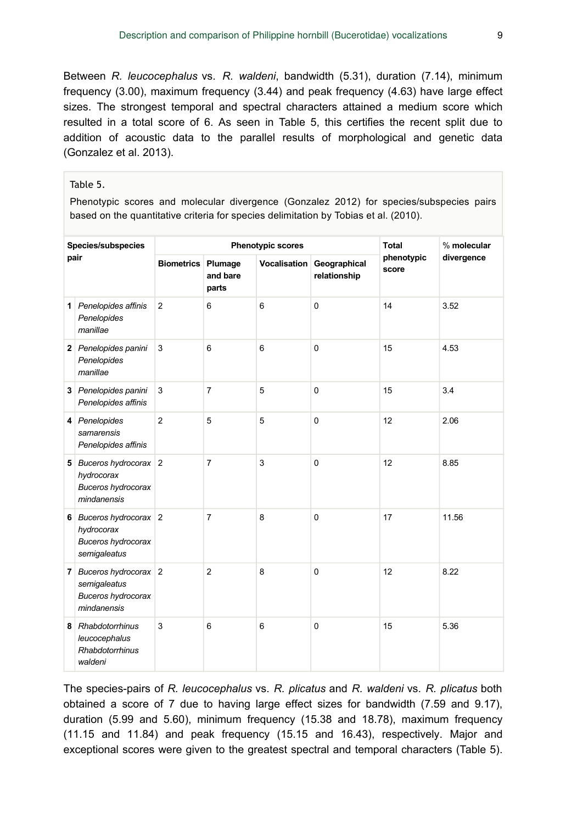Between *R. leucocephalus* vs. *R. waldeni*, bandwidth (5.31), duration (7.14), minimum frequency (3.00), maximum frequency (3.44) and peak frequency (4.63) have large effect sizes. The strongest temporal and spectral characters attained a medium score which resulted in a total score of 6. As seen in Table 5, this certifies the recent split due to addition of acoustic data to the parallel results of morphological and genetic data (Gonzalez et al. 2013).

#### Table 5.

Phenotypic scores and molecular divergence (Gonzalez 2012) for species/subspecies pairs based on the quantitative criteria for species delimitation by Tobias et al. (2010).

| Species/subspecies<br>pair |                                                                             |                           | <b>Phenotypic scores</b> |              | Total                        | % molecular         |            |
|----------------------------|-----------------------------------------------------------------------------|---------------------------|--------------------------|--------------|------------------------------|---------------------|------------|
|                            |                                                                             | <b>Biometrics Plumage</b> | and bare<br>parts        | Vocalisation | Geographical<br>relationship | phenotypic<br>score | divergence |
| 1                          | Penelopides affinis<br>Penelopides<br>manillae                              | $\overline{2}$            | 6                        | 6            | $\Omega$                     | 14                  | 3.52       |
|                            | 2 Penelopides panini<br>Penelopides<br>manillae                             | 3                         | 6                        | 6            | $\mathbf 0$                  | 15                  | 4.53       |
|                            | 3 Penelopides panini<br>Penelopides affinis                                 | 3                         | $\overline{7}$           | 5            | $\Omega$                     | 15                  | 3.4        |
|                            | 4 Penelopides<br>samarensis<br>Penelopides affinis                          | $\overline{2}$            | 5                        | 5            | $\mathbf 0$                  | 12                  | 2.06       |
|                            | 5 Buceros hydrocorax 2<br>hydrocorax<br>Buceros hydrocorax<br>mindanensis   |                           | $\overline{7}$           | 3            | $\mathbf 0$                  | 12                  | 8.85       |
| 6                          | Buceros hydrocorax 2<br>hydrocorax<br>Buceros hydrocorax<br>semigaleatus    |                           | $\overline{7}$           | 8            | $\Omega$                     | 17                  | 11.56      |
|                            | 7 Buceros hydrocorax 2<br>semigaleatus<br>Buceros hydrocorax<br>mindanensis |                           | 2                        | 8            | $\mathbf 0$                  | 12                  | 8.22       |
|                            | 8 Rhabdotorrhinus<br>leucocephalus<br><b>Rhabdotorrhinus</b><br>waldeni     | 3                         | 6                        | 6            | $\Omega$                     | 15                  | 5.36       |

The species-pairs of *R. leucocephalus* vs. *R. plicatus* and *R. waldeni* vs. *R. plicatus* both obtained a score of 7 due to having large effect sizes for bandwidth (7.59 and 9.17), duration (5.99 and 5.60), minimum frequency (15.38 and 18.78), maximum frequency (11.15 and 11.84) and peak frequency (15.15 and 16.43), respectively. Major and exceptional scores were given to the greatest spectral and temporal characters (Table 5).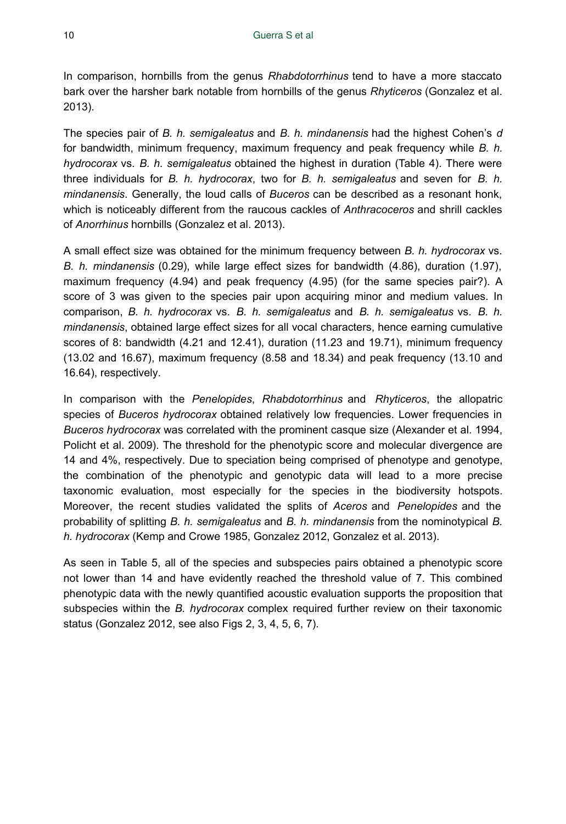In comparison, hornbills from the genus *Rhabdotorrhinus* tend to have a more staccato bark over the harsher bark notable from hornbills of the genus *Rhyticeros* (Gonzalez et al. 2013).

The species pair of *B. h. semigaleatus* and *B. h. mindanensis* had the highest Cohen's *d* for bandwidth, minimum frequency, maximum frequency and peak frequency while *B. h. hydrocorax* vs. *B. h. semigaleatus* obtained the highest in duration (Table 4). There were three individuals for *B. h. hydrocorax*, two for *B. h. semigaleatus* and seven for *B. h. mindanensis*. Generally, the loud calls of *Buceros* can be described as a resonant honk, which is noticeably different from the raucous cackles of *Anthracoceros* and shrill cackles of *Anorrhinus* hornbills (Gonzalez et al. 2013).

A small effect size was obtained for the minimum frequency between *B. h. hydrocorax* vs. *B. h. mindanensis* (0.29), while large effect sizes for bandwidth (4.86), duration (1.97), maximum frequency (4.94) and peak frequency (4.95) (for the same species pair?). A score of 3 was given to the species pair upon acquiring minor and medium values. In comparison, *B. h. hydrocorax* vs. *B. h. semigaleatus* and *B. h. semigaleatus* vs. *B. h. mindanensis*, obtained large effect sizes for all vocal characters, hence earning cumulative scores of 8: bandwidth (4.21 and 12.41), duration (11.23 and 19.71), minimum frequency (13.02 and 16.67), maximum frequency (8.58 and 18.34) and peak frequency (13.10 and 16.64), respectively.

In comparison with the *Penelopides*, *Rhabdotorrhinus* and *Rhyticeros*, the allopatric species of *Buceros hydrocorax* obtained relatively low frequencies. Lower frequencies in *Buceros hydrocorax* was correlated with the prominent casque size (Alexander et al. 1994, Policht et al. 2009). The threshold for the phenotypic score and molecular divergence are 14 and 4%, respectively. Due to speciation being comprised of phenotype and genotype, the combination of the phenotypic and genotypic data will lead to a more precise taxonomic evaluation, most especially for the species in the biodiversity hotspots. Moreover, the recent studies validated the splits of *Aceros* and *Penelopides* and the probability of splitting *B. h. semigaleatus* and *B. h. mindanensis* from the nominotypical *B. h. hydrocorax* (Kemp and Crowe 1985, Gonzalez 2012, Gonzalez et al. 2013).

As seen in Table 5, all of the species and subspecies pairs obtained a phenotypic score not lower than 14 and have evidently reached the threshold value of 7. This combined phenotypic data with the newly quantified acoustic evaluation supports the proposition that subspecies within the *B. hydrocorax* complex required further review on their taxonomic status (Gonzalez 2012, see also Figs 2, 3, 4, 5, 6, 7).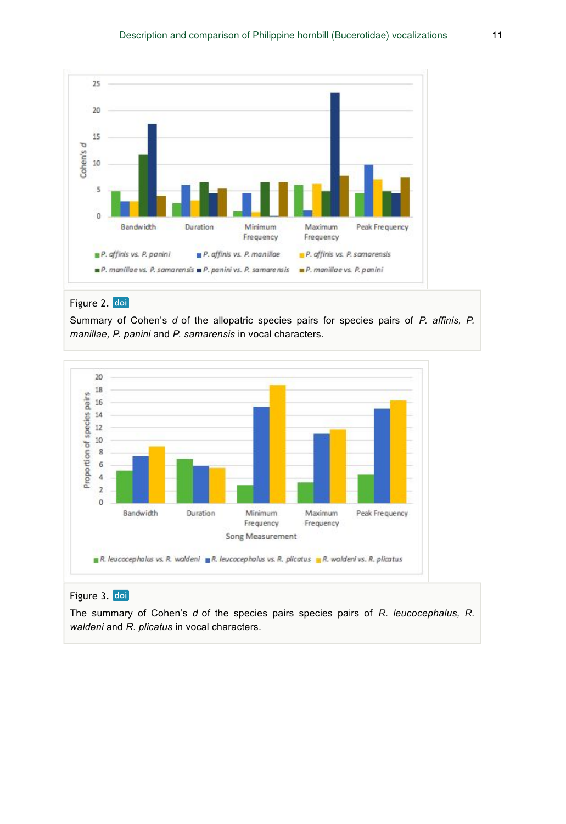

### Figure 2. doi

Summary of Cohen's *d* of the allopatric species pairs for species pairs of *P. affinis, P. manillae, P. panini* and *P. samarensis* in vocal characters.



### Figure 3. doi

The summary of Cohen's *d* of the species pairs species pairs of *R. leucocephalus, R. waldeni* and *R. plicatus* in vocal characters.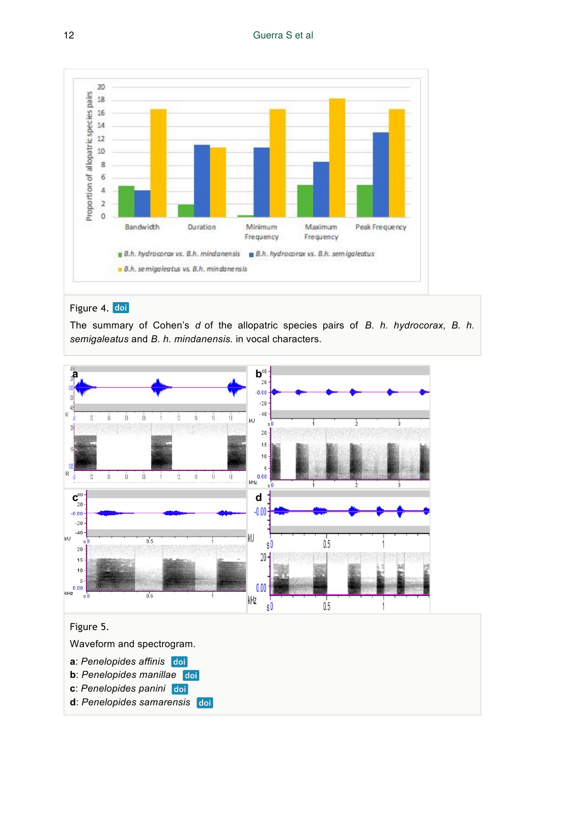

### Figure 4. doi

The summary of Cohen's *d* of the allopatric species pairs of *B. h. hydrocorax, B. h. semigaleatus* and *B. h. mindanensis.* in vocal characters.

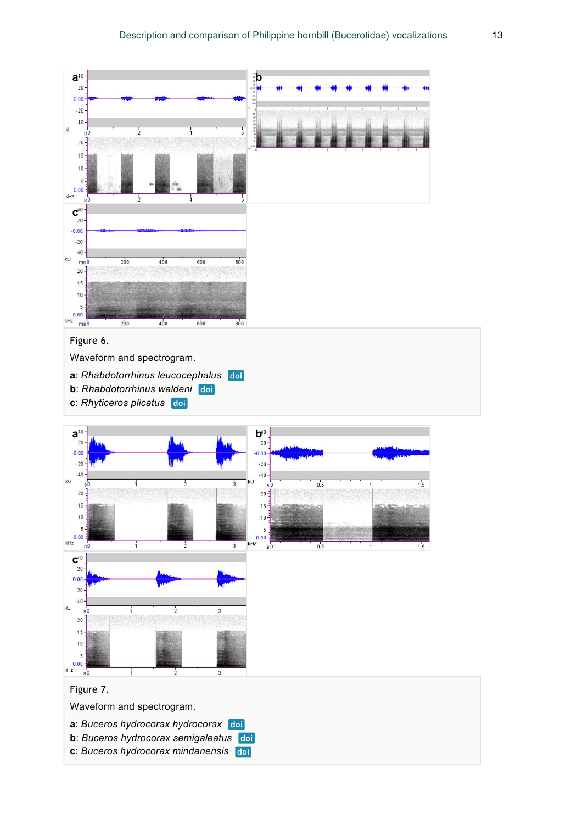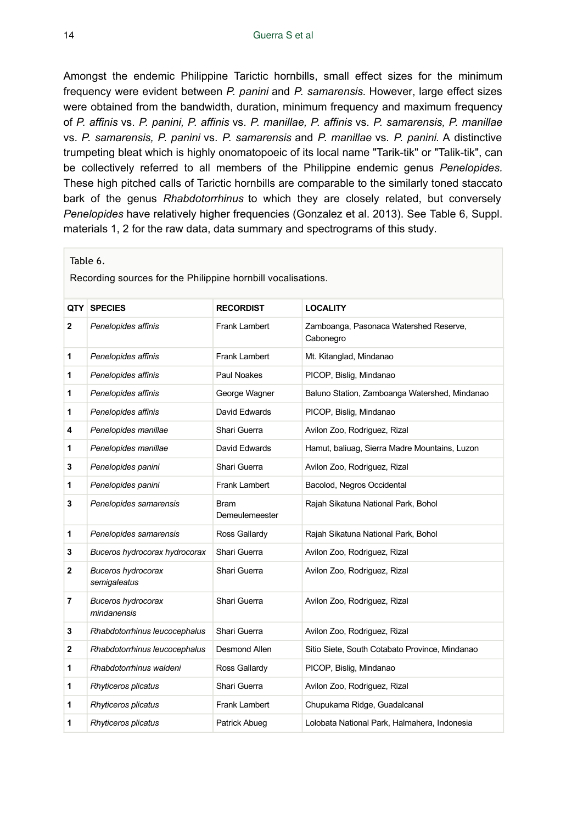Amongst the endemic Philippine Tarictic hornbills, small effect sizes for the minimum frequency were evident between *P. panini* and *P. samarensis.* However, large effect sizes were obtained from the bandwidth, duration, minimum frequency and maximum frequency of *P. affinis* vs. *P. panini, P. affinis* vs. *P. manillae, P. affinis* vs. *P. samarensis, P. manillae* vs. *P. samarensis, P. panini* vs. *P. samarensis* and *P. manillae* vs. *P. panini.* A distinctive trumpeting bleat which is highly onomatopoeic of its local name "Tarik-tik" or "Talik-tik", can be collectively referred to all members of the Philippine endemic genus *Penelopides.* These high pitched calls of Tarictic hornbills are comparable to the similarly toned staccato bark of the genus *Rhabdotorrhinus* to which they are closely related, but conversely *Penelopides* have relatively higher frequencies (Gonzalez et al. 2013). See Table 6, Suppl. materials 1, 2 for the raw data, data summary and spectrograms of this study.

#### Table 6.

Recording sources for the Philippine hornbill vocalisations.

| QTY          | <b>SPECIES</b>                            | <b>RECORDIST</b>              | <b>LOCALITY</b>                                     |
|--------------|-------------------------------------------|-------------------------------|-----------------------------------------------------|
| 2            | Penelopides affinis                       | <b>Frank Lambert</b>          | Zamboanga, Pasonaca Watershed Reserve,<br>Cabonegro |
| 1            | Penelopides affinis                       | <b>Frank Lambert</b>          | Mt. Kitanglad, Mindanao                             |
| 1            | Penelopides affinis                       | Paul Noakes                   | PICOP, Bislig, Mindanao                             |
| 1            | Penelopides affinis                       | George Wagner                 | Baluno Station, Zamboanga Watershed, Mindanao       |
| 1            | Penelopides affinis                       | David Edwards                 | PICOP, Bislig, Mindanao                             |
| 4            | Penelopides manillae                      | Shari Guerra                  | Avilon Zoo, Rodriguez, Rizal                        |
| 1            | Penelopides manillae                      | David Edwards                 | Hamut, baliuag, Sierra Madre Mountains, Luzon       |
| 3            | Penelopides panini                        | Shari Guerra                  | Avilon Zoo, Rodriguez, Rizal                        |
| 1            | Penelopides panini                        | <b>Frank Lambert</b>          | Bacolod, Negros Occidental                          |
| 3            | Penelopides samarensis                    | <b>Bram</b><br>Demeulemeester | Rajah Sikatuna National Park, Bohol                 |
| 1            | Penelopides samarensis                    | Ross Gallardy                 | Rajah Sikatuna National Park, Bohol                 |
| 3            | Buceros hydrocorax hydrocorax             | Shari Guerra                  | Avilon Zoo, Rodriguez, Rizal                        |
| 2            | <b>Buceros hydrocorax</b><br>semigaleatus | Shari Guerra                  | Avilon Zoo, Rodriguez, Rizal                        |
| 7            | <b>Buceros hydrocorax</b><br>mindanensis  | Shari Guerra                  | Avilon Zoo, Rodriguez, Rizal                        |
| 3            | Rhabdotorrhinus leucocephalus             | Shari Guerra                  | Avilon Zoo, Rodriguez, Rizal                        |
| $\mathbf{2}$ | Rhabdotorrhinus leucocephalus             | Desmond Allen                 | Sitio Siete, South Cotabato Province, Mindanao      |
| 1            | Rhabdotorrhinus waldeni                   | Ross Gallardy                 | PICOP, Bislig, Mindanao                             |
| 1            | Rhyticeros plicatus                       | Shari Guerra                  | Avilon Zoo, Rodriguez, Rizal                        |
| 1            | Rhyticeros plicatus                       | <b>Frank Lambert</b>          | Chupukama Ridge, Guadalcanal                        |
| 1            | Rhyticeros plicatus                       | Patrick Abueg                 | Lolobata National Park, Halmahera, Indonesia        |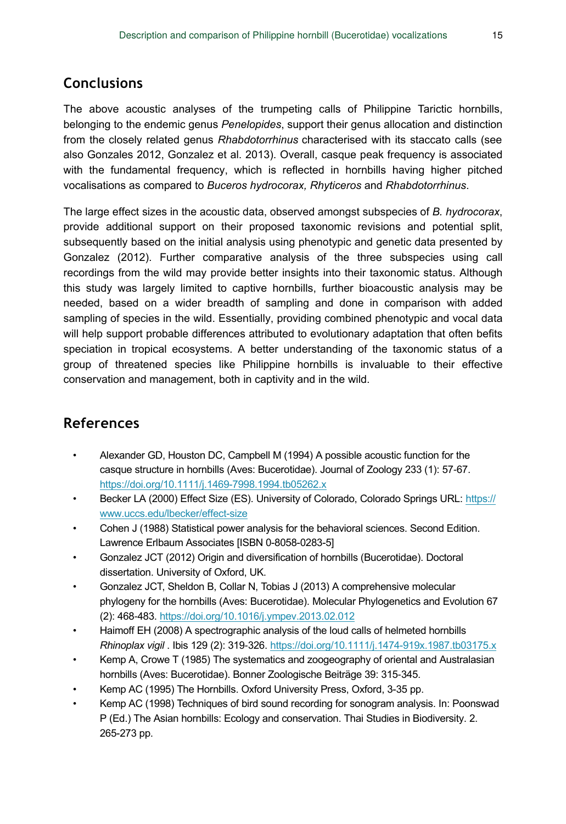# **Conclusions**

The above acoustic analyses of the trumpeting calls of Philippine Tarictic hornbills, belonging to the endemic genus *Penelopides*, support their genus allocation and distinction from the closely related genus *Rhabdotorrhinus* characterised with its staccato calls (see also Gonzales 2012, Gonzalez et al. 2013). Overall, casque peak frequency is associated with the fundamental frequency, which is reflected in hornbills having higher pitched vocalisations as compared to *Buceros hydrocorax, Rhyticeros* and *Rhabdotorrhinus*.

The large effect sizes in the acoustic data, observed amongst subspecies of *B. hydrocorax*, provide additional support on their proposed taxonomic revisions and potential split, subsequently based on the initial analysis using phenotypic and genetic data presented by Gonzalez (2012). Further comparative analysis of the three subspecies using call recordings from the wild may provide better insights into their taxonomic status. Although this study was largely limited to captive hornbills, further bioacoustic analysis may be needed, based on a wider breadth of sampling and done in comparison with added sampling of species in the wild. Essentially, providing combined phenotypic and vocal data will help support probable differences attributed to evolutionary adaptation that often befits speciation in tropical ecosystems. A better understanding of the taxonomic status of a group of threatened species like Philippine hornbills is invaluable to their effective conservation and management, both in captivity and in the wild.

# **References**

- Alexander GD, Houston DC, Campbell M (1994) A possible acoustic function for the casque structure in hornbills (Aves: Bucerotidae). Journal of Zoology 233 (1): 57‑67. <https://doi.org/10.1111/j.1469-7998.1994.tb05262.x>
- Becker LA (2000) Effect Size (ES). University of Colorado, Colorado Springs URL: [https://](https://www.uccs.edu/lbecker/effect-size) [www.uccs.edu/lbecker/effect-size](https://www.uccs.edu/lbecker/effect-size)
- Cohen J (1988) Statistical power analysis for the behavioral sciences. Second Edition. Lawrence Erlbaum Associates [ISBN 0-8058-0283-5]
- Gonzalez JCT (2012) Origin and diversification of hornbills (Bucerotidae). Doctoral dissertation. University of Oxford, UK.
- Gonzalez JCT, Sheldon B, Collar N, Tobias J (2013) A comprehensive molecular phylogeny for the hornbills (Aves: Bucerotidae). Molecular Phylogenetics and Evolution 67 (2): 468‑483.<https://doi.org/10.1016/j.ympev.2013.02.012>
- Haimoff EH (2008) A spectrographic analysis of the loud calls of helmeted hornbills *Rhinoplax vigil* . Ibis 129 (2): 319‑326.<https://doi.org/10.1111/j.1474-919x.1987.tb03175.x>
- Kemp A, Crowe T (1985) The systematics and zoogeography of oriental and Australasian hornbills (Aves: Bucerotidae). Bonner Zoologische Beiträge 39: 315‑345.
- Kemp AC (1995) The Hornbills. Oxford University Press, Oxford, 3-35 pp.
- Kemp AC (1998) Techniques of bird sound recording for sonogram analysis. In: Poonswad P (Ed.) The Asian hornbills: Ecology and conservation. Thai Studies in Biodiversity. 2. 265-273 pp.